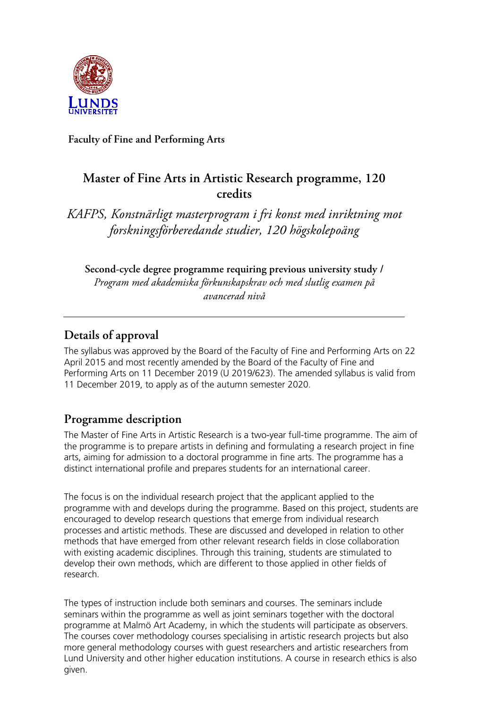

**Faculty of Fine and Performing Arts**

# **Master of Fine Arts in Artistic Research programme, 120 credits**

*KAFPS, Konstnärligt masterprogram i fri konst med inriktning mot forskningsförberedande studier, 120 högskolepoäng*

**Second-cycle degree programme requiring previous university study /**  *Program med akademiska förkunskapskrav och med slutlig examen på avancerad nivå* 

## **Details of approval**

The syllabus was approved by the Board of the Faculty of Fine and Performing Arts on 22 April 2015 and most recently amended by the Board of the Faculty of Fine and Performing Arts on 11 December 2019 (U 2019/623). The amended syllabus is valid from 11 December 2019, to apply as of the autumn semester 2020.

# **Programme description**

The Master of Fine Arts in Artistic Research is a two-year full-time programme. The aim of the programme is to prepare artists in defining and formulating a research project in fine arts, aiming for admission to a doctoral programme in fine arts. The programme has a distinct international profile and prepares students for an international career.

The focus is on the individual research project that the applicant applied to the programme with and develops during the programme. Based on this project, students are encouraged to develop research questions that emerge from individual research processes and artistic methods. These are discussed and developed in relation to other methods that have emerged from other relevant research fields in close collaboration with existing academic disciplines. Through this training, students are stimulated to develop their own methods, which are different to those applied in other fields of research.

The types of instruction include both seminars and courses. The seminars include seminars within the programme as well as joint seminars together with the doctoral programme at Malmö Art Academy, in which the students will participate as observers. The courses cover methodology courses specialising in artistic research projects but also more general methodology courses with guest researchers and artistic researchers from Lund University and other higher education institutions. A course in research ethics is also given.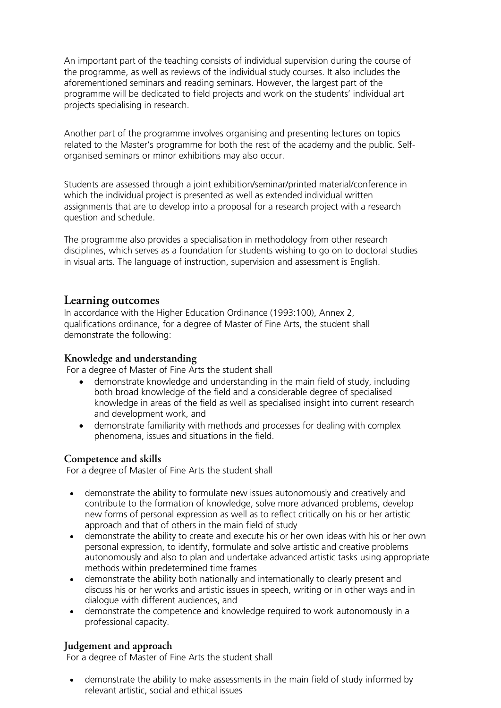An important part of the teaching consists of individual supervision during the course of the programme, as well as reviews of the individual study courses. It also includes the aforementioned seminars and reading seminars. However, the largest part of the programme will be dedicated to field projects and work on the students' individual art projects specialising in research.

Another part of the programme involves organising and presenting lectures on topics related to the Master's programme for both the rest of the academy and the public. Selforganised seminars or minor exhibitions may also occur.

Students are assessed through a joint exhibition/seminar/printed material/conference in which the individual project is presented as well as extended individual written assignments that are to develop into a proposal for a research project with a research question and schedule.

The programme also provides a specialisation in methodology from other research disciplines, which serves as a foundation for students wishing to go on to doctoral studies in visual arts. The language of instruction, supervision and assessment is English.

## **Learning outcomes**

In accordance with the Higher Education Ordinance (1993:100), Annex 2, qualifications ordinance, for a degree of Master of Fine Arts, the student shall demonstrate the following:

### **Knowledge and understanding**

For a degree of Master of Fine Arts the student shall

- demonstrate knowledge and understanding in the main field of study, including both broad knowledge of the field and a considerable degree of specialised knowledge in areas of the field as well as specialised insight into current research and development work, and
- demonstrate familiarity with methods and processes for dealing with complex phenomena, issues and situations in the field.

#### **Competence and skills**

For a degree of Master of Fine Arts the student shall

- demonstrate the ability to formulate new issues autonomously and creatively and contribute to the formation of knowledge, solve more advanced problems, develop new forms of personal expression as well as to reflect critically on his or her artistic approach and that of others in the main field of study
- demonstrate the ability to create and execute his or her own ideas with his or her own personal expression, to identify, formulate and solve artistic and creative problems autonomously and also to plan and undertake advanced artistic tasks using appropriate methods within predetermined time frames
- demonstrate the ability both nationally and internationally to clearly present and discuss his or her works and artistic issues in speech, writing or in other ways and in dialogue with different audiences, and
- demonstrate the competence and knowledge required to work autonomously in a professional capacity.

### **Judgement and approach**

For a degree of Master of Fine Arts the student shall

• demonstrate the ability to make assessments in the main field of study informed by relevant artistic, social and ethical issues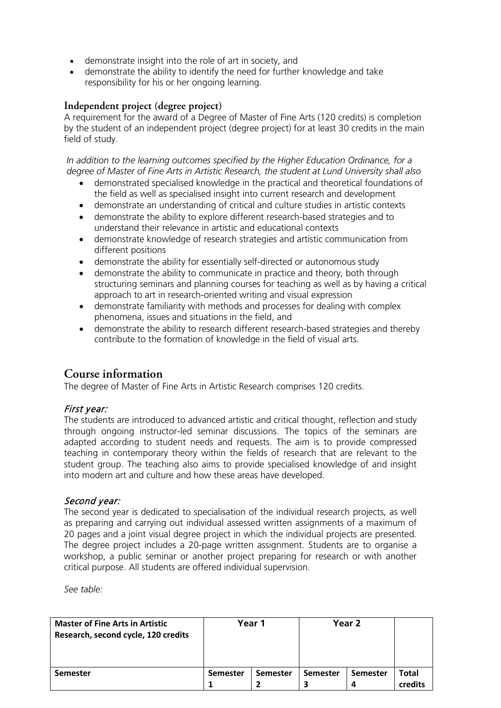- demonstrate insight into the role of art in society, and
- demonstrate the ability to identify the need for further knowledge and take responsibility for his or her ongoing learning.

### **Independent project (degree project)**

A requirement for the award of a Degree of Master of Fine Arts (120 credits) is completion by the student of an independent project (degree project) for at least 30 credits in the main field of study.

*In addition to the learning outcomes specified by the Higher Education Ordinance, for a degree of Master of Fine Arts in Artistic Research, the student at Lund University shall also*

- demonstrated specialised knowledge in the practical and theoretical foundations of the field as well as specialised insight into current research and development
- demonstrate an understanding of critical and culture studies in artistic contexts
- demonstrate the ability to explore different research-based strategies and to understand their relevance in artistic and educational contexts
- demonstrate knowledge of research strategies and artistic communication from different positions
- demonstrate the ability for essentially self-directed or autonomous study
- demonstrate the ability to communicate in practice and theory, both through structuring seminars and planning courses for teaching as well as by having a critical approach to art in research-oriented writing and visual expression
- demonstrate familiarity with methods and processes for dealing with complex phenomena, issues and situations in the field, and
- demonstrate the ability to research different research-based strategies and thereby contribute to the formation of knowledge in the field of visual arts.

## **Course information**

The degree of Master of Fine Arts in Artistic Research comprises 120 credits.

### First year:

The students are introduced to advanced artistic and critical thought, reflection and study through ongoing instructor-led seminar discussions. The topics of the seminars are adapted according to student needs and requests. The aim is to provide compressed teaching in contemporary theory within the fields of research that are relevant to the student group. The teaching also aims to provide specialised knowledge of and insight into modern art and culture and how these areas have developed.

#### Second year:

The second year is dedicated to specialisation of the individual research projects, as well as preparing and carrying out individual assessed written assignments of a maximum of 20 pages and a joint visual degree project in which the individual projects are presented. The degree project includes a 20-page written assignment. Students are to organise a workshop, a public seminar or another project preparing for research or with another critical purpose. All students are offered individual supervision.

*See table:*

| <b>Master of Fine Arts in Artistic</b><br>Research, second cycle, 120 credits | Year 1          |                 | Year 2          |                 |         |
|-------------------------------------------------------------------------------|-----------------|-----------------|-----------------|-----------------|---------|
| <b>Semester</b>                                                               | <b>Semester</b> | <b>Semester</b> | <b>Semester</b> | <b>Semester</b> | Total   |
|                                                                               |                 |                 |                 |                 | credits |